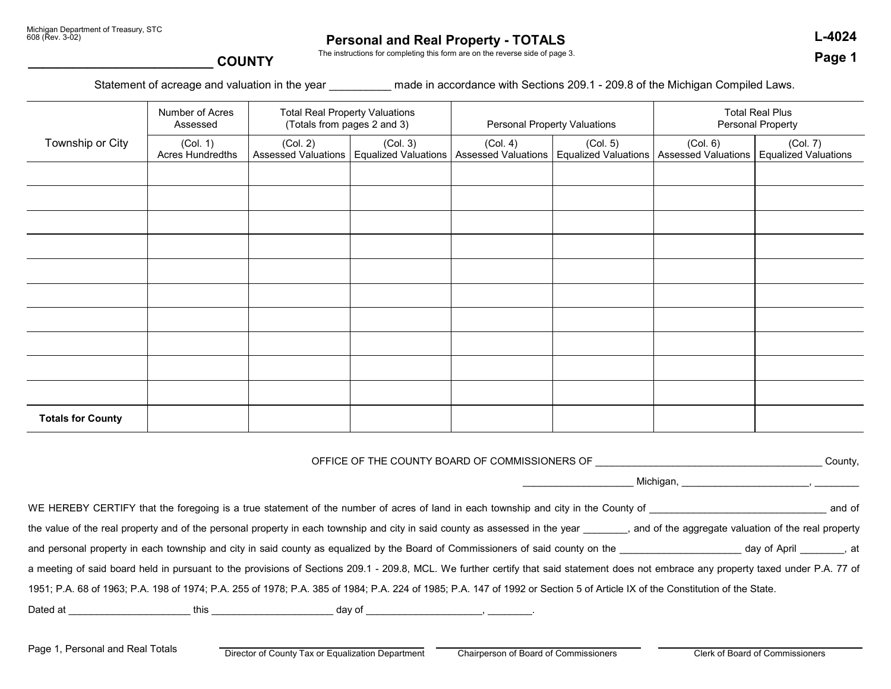# **Personal and Real Property - TOTALS L-4024**

**Page 1**

The instructions for completing this form are on the reverse side of page 3.

### **\_\_\_\_\_\_\_\_\_\_\_\_\_\_\_\_\_\_\_\_\_\_\_\_\_ COUNTY**

Statement of acreage and valuation in the year \_\_\_\_\_\_\_\_\_ made in accordance with Sections 209.1 - 209.8 of the Michigan Compiled Laws.

|                          | Number of Acres<br>Assessed         | <b>Total Real Property Valuations</b><br>(Totals from pages 2 and 3) |          | <b>Personal Property Valuations</b> |                                                                                                     | <b>Total Real Plus</b><br>Personal Property |                                         |
|--------------------------|-------------------------------------|----------------------------------------------------------------------|----------|-------------------------------------|-----------------------------------------------------------------------------------------------------|---------------------------------------------|-----------------------------------------|
| Township or City         | (Col. 1)<br><b>Acres Hundredths</b> | (Col. 2)                                                             | (Col. 3) | (Col. 4)                            | (Col. 5)<br>Assessed Valuations   Equalized Valuations   Assessed Valuations   Equalized Valuations | (Col. 6)<br>Assessed Valuations             | (Col. 7)<br><b>Equalized Valuations</b> |
|                          |                                     |                                                                      |          |                                     |                                                                                                     |                                             |                                         |
|                          |                                     |                                                                      |          |                                     |                                                                                                     |                                             |                                         |
|                          |                                     |                                                                      |          |                                     |                                                                                                     |                                             |                                         |
|                          |                                     |                                                                      |          |                                     |                                                                                                     |                                             |                                         |
|                          |                                     |                                                                      |          |                                     |                                                                                                     |                                             |                                         |
|                          |                                     |                                                                      |          |                                     |                                                                                                     |                                             |                                         |
|                          |                                     |                                                                      |          |                                     |                                                                                                     |                                             |                                         |
|                          |                                     |                                                                      |          |                                     |                                                                                                     |                                             |                                         |
|                          |                                     |                                                                      |          |                                     |                                                                                                     |                                             |                                         |
|                          |                                     |                                                                      |          |                                     |                                                                                                     |                                             |                                         |
| <b>Totals for County</b> |                                     |                                                                      |          |                                     |                                                                                                     |                                             |                                         |

OFFICE OF THE COUNTY BOARD OF COMMISSIONERS OF \_\_\_\_\_\_\_\_\_\_\_\_\_\_\_\_\_\_\_\_\_\_\_\_\_\_\_\_\_\_\_\_\_\_\_\_\_\_\_\_\_ County,

Michigan, \_\_\_\_\_\_\_\_\_\_\_\_\_\_\_\_\_\_\_\_\_\_\_\_\_\_\_\_, \_\_\_

|          |      |                                                                                                                              | WE HEREBY CERTIFY that the foregoing is a true statement of the number of acres of land in each township and city in the County of |                                                                                                                                                                                        | and of |
|----------|------|------------------------------------------------------------------------------------------------------------------------------|------------------------------------------------------------------------------------------------------------------------------------|----------------------------------------------------------------------------------------------------------------------------------------------------------------------------------------|--------|
|          |      | the value of the real property and of the personal property in each township and city in said county as assessed in the year |                                                                                                                                    | , and of the aggregate valuation of the real property                                                                                                                                  |        |
|          |      |                                                                                                                              | and personal property in each township and city in said county as equalized by the Board of Commissioners of said county on the    |                                                                                                                                                                                        |        |
|          |      |                                                                                                                              |                                                                                                                                    | a meeting of said board held in pursuant to the provisions of Sections 209.1 - 209.8, MCL. We further certify that said statement does not embrace any property taxed under P.A. 77 of |        |
|          |      |                                                                                                                              |                                                                                                                                    | 1951; P.A. 68 of 1963; P.A. 198 of 1974; P.A. 255 of 1978; P.A. 385 of 1984; P.A. 224 of 1985; P.A. 147 of 1992 or Section 5 of Article IX of the Constitution of the State.           |        |
| Dated at | this | day of                                                                                                                       |                                                                                                                                    |                                                                                                                                                                                        |        |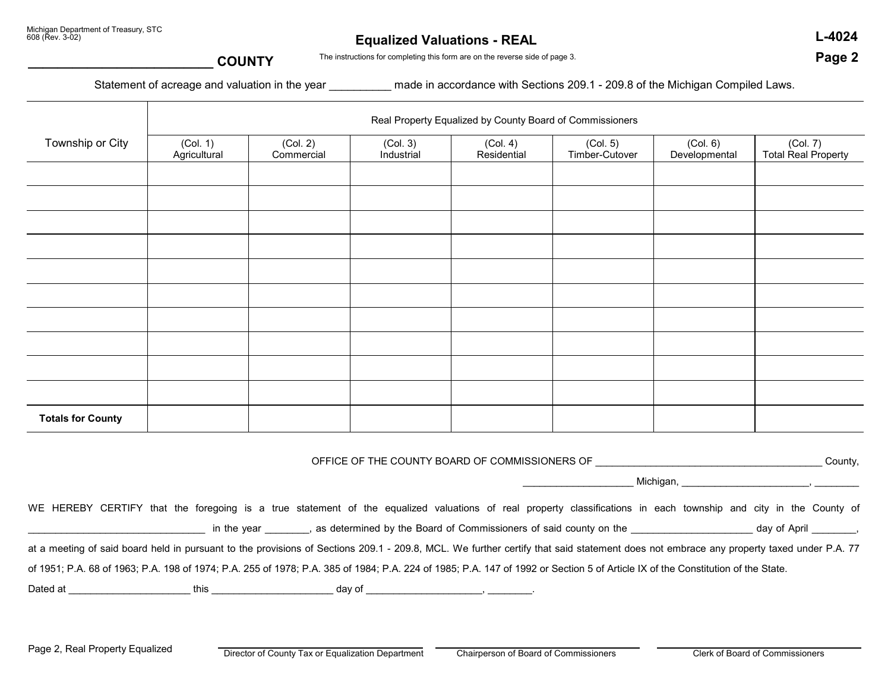## **Equalized Valuations - REAL L-4024**

**Page 2**

#### **\_\_\_\_\_\_\_\_\_\_\_\_\_\_\_\_\_\_\_\_\_\_\_\_\_ COUNTY**

The instructions for completing this form are on the reverse side of page 3.

Statement of acreage and valuation in the year made in accordance with Sections 209.1 - 209.8 of the Michigan Compiled Laws.

|                          | Real Property Equalized by County Board of Commissioners |                        |                        |                         |                            |                           |                                        |
|--------------------------|----------------------------------------------------------|------------------------|------------------------|-------------------------|----------------------------|---------------------------|----------------------------------------|
| Township or City         | (Col. 1)<br>Agricultural                                 | (Col. 2)<br>Commercial | (Col. 3)<br>Industrial | (Col. 4)<br>Residential | (Col. 5)<br>Timber-Cutover | (Col. 6)<br>Developmental | (Col. 7)<br><b>Total Real Property</b> |
|                          |                                                          |                        |                        |                         |                            |                           |                                        |
|                          |                                                          |                        |                        |                         |                            |                           |                                        |
|                          |                                                          |                        |                        |                         |                            |                           |                                        |
|                          |                                                          |                        |                        |                         |                            |                           |                                        |
|                          |                                                          |                        |                        |                         |                            |                           |                                        |
|                          |                                                          |                        |                        |                         |                            |                           |                                        |
|                          |                                                          |                        |                        |                         |                            |                           |                                        |
|                          |                                                          |                        |                        |                         |                            |                           |                                        |
|                          |                                                          |                        |                        |                         |                            |                           |                                        |
|                          |                                                          |                        |                        |                         |                            |                           |                                        |
| <b>Totals for County</b> |                                                          |                        |                        |                         |                            |                           |                                        |

OFFICE OF THE COUNTY BOARD OF COMMISSIONERS OF **Example 20 and Security** County,

\_\_\_\_\_\_\_\_\_\_\_\_\_\_\_\_\_\_\_\_ Michigan, \_\_\_\_\_\_\_\_\_\_\_\_\_\_\_\_\_\_\_\_\_\_\_, \_\_\_\_\_\_\_\_

WE HEREBY CERTIFY that the foregoing is a true statement of the equalized valuations of real property classifications in each township and city in the County of in the year \_\_\_\_\_\_\_\_, as determined by the Board of Commissioners of said county on the \_\_\_\_\_\_\_\_\_\_\_\_\_\_\_\_\_\_\_\_\_\_ day of April \_\_\_\_\_\_\_,

at a meeting of said board held in pursuant to the provisions of Sections 209.1 - 209.8, MCL. We further certify that said statement does not embrace any property taxed under P.A. 77

of 1951; P.A. 68 of 1963; P.A. 198 of 1974; P.A. 255 of 1978; P.A. 385 of 1984; P.A. 224 of 1985; P.A. 147 of 1992 or Section 5 of Article IX of the Constitution of the State.

Dated at \_\_\_\_\_\_\_\_\_\_\_\_\_\_\_\_\_\_\_\_\_\_ this \_\_\_\_\_\_\_\_\_\_\_\_\_\_\_\_\_\_\_\_\_\_ day of \_\_\_\_\_\_\_\_\_\_\_\_\_\_\_\_\_\_\_\_\_, \_\_\_\_\_\_\_\_.

Page 2, Real Property Equalized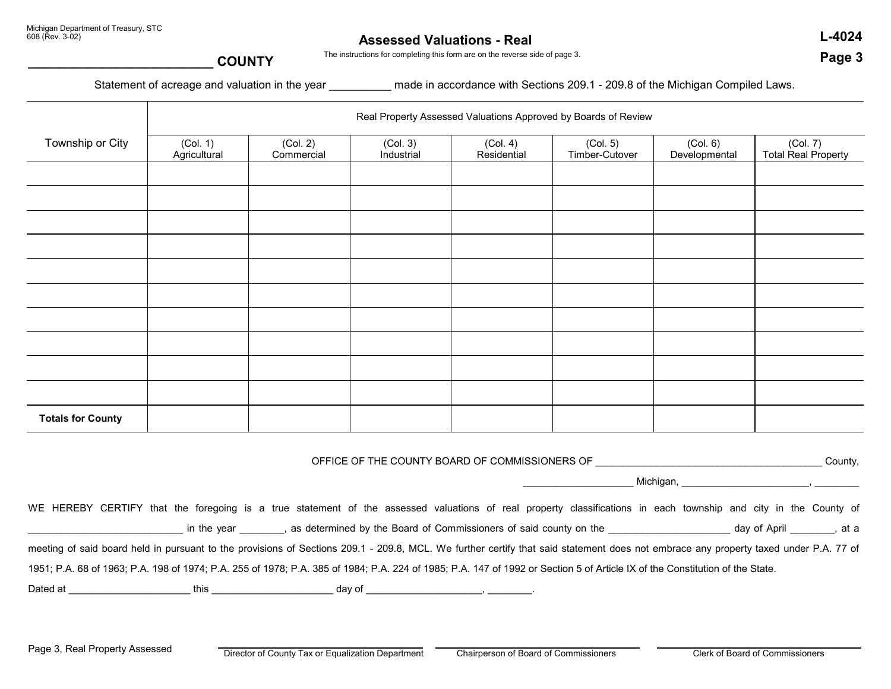### **Assessed Valuations - Real**

 **L-4024 Page 3**

The instructions for completing this form are on the reverse side of page 3.

### **\_\_\_\_\_\_\_\_\_\_\_\_\_\_\_\_\_\_\_\_\_\_\_\_\_ COUNTY**

Statement of acreage and valuation in the year made in accordance with Sections 209.1 - 209.8 of the Michigan Compiled Laws.

|                          | Real Property Assessed Valuations Approved by Boards of Review |                        |                        |                         |                            |                           |                                 |
|--------------------------|----------------------------------------------------------------|------------------------|------------------------|-------------------------|----------------------------|---------------------------|---------------------------------|
| Township or City         | (Col. 1)<br>Agricultural                                       | (Col. 2)<br>Commercial | (Col. 3)<br>Industrial | (Col. 4)<br>Residential | (Col. 5)<br>Timber-Cutover | (Col. 6)<br>Developmental | (Col. 7)<br>Total Real Property |
|                          |                                                                |                        |                        |                         |                            |                           |                                 |
|                          |                                                                |                        |                        |                         |                            |                           |                                 |
|                          |                                                                |                        |                        |                         |                            |                           |                                 |
|                          |                                                                |                        |                        |                         |                            |                           |                                 |
|                          |                                                                |                        |                        |                         |                            |                           |                                 |
|                          |                                                                |                        |                        |                         |                            |                           |                                 |
|                          |                                                                |                        |                        |                         |                            |                           |                                 |
|                          |                                                                |                        |                        |                         |                            |                           |                                 |
|                          |                                                                |                        |                        |                         |                            |                           |                                 |
|                          |                                                                |                        |                        |                         |                            |                           |                                 |
| <b>Totals for County</b> |                                                                |                        |                        |                         |                            |                           |                                 |

OFFICE OF THE COUNTY BOARD OF COMMISSIONERS OF \_\_\_\_\_\_\_\_\_\_\_\_\_\_\_\_\_\_\_\_\_\_\_\_\_\_\_\_\_\_\_\_\_\_\_\_\_\_\_\_\_ County,

Michigan, \_\_\_\_\_\_\_\_\_\_\_\_\_\_\_\_\_\_\_\_\_\_\_\_\_\_\_\_, \_\_\_\_

| WE HEREBY CERTIFY that the foregoing is a true statement of the assessed valuations of real property classifications in each township and city in the County of                      |              |        |
|--------------------------------------------------------------------------------------------------------------------------------------------------------------------------------------|--------------|--------|
| as determined by the Board of Commissioners of said county on the<br>in the year                                                                                                     | day of April | . at a |
| meeting of said board held in pursuant to the provisions of Sections 209.1 - 209.8, MCL. We further certify that said statement does not embrace any property taxed under P.A. 77 of |              |        |
| 1951; P.A. 68 of 1963; P.A. 198 of 1974; P.A. 255 of 1978; P.A. 385 of 1984; P.A. 224 of 1985; P.A. 147 of 1992 or Section 5 of Article IX of the Constitution of the State.         |              |        |

Dated at \_\_\_\_\_\_\_\_\_\_\_\_\_\_\_\_\_\_\_\_\_\_ this \_\_\_\_\_\_\_\_\_\_\_\_\_\_\_\_\_\_\_\_\_\_ day of \_\_\_\_\_\_\_\_\_\_\_\_\_\_\_\_\_\_\_\_\_, \_\_\_\_\_\_\_\_.